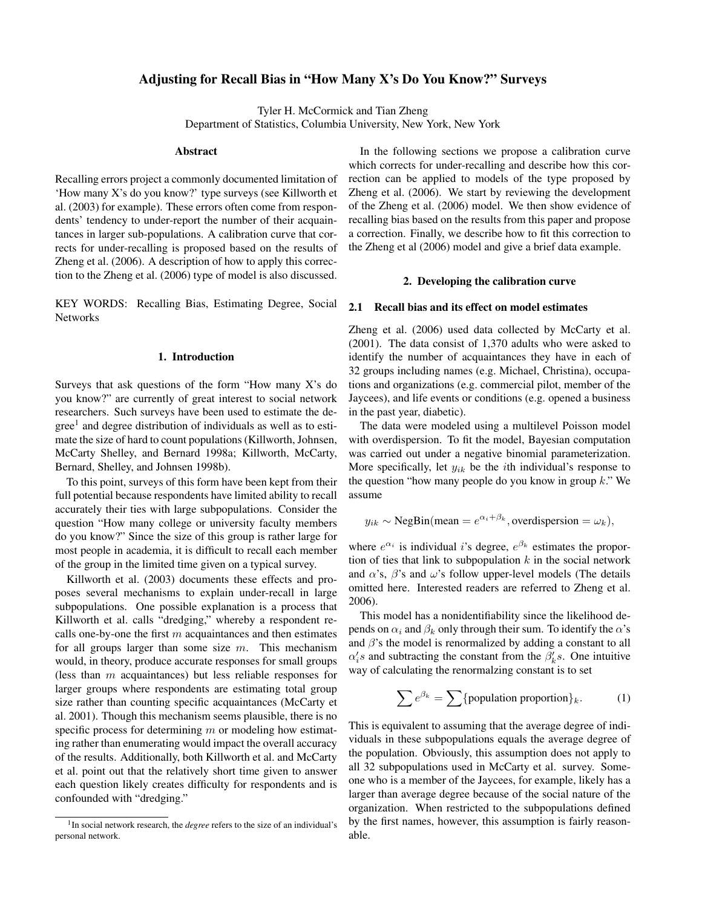# Adjusting for Recall Bias in "How Many X's Do You Know?" Surveys

Tyler H. McCormick and Tian Zheng

Department of Statistics, Columbia University, New York, New York

## Abstract

Recalling errors project a commonly documented limitation of 'How many X's do you know?' type surveys (see Killworth et al. (2003) for example). These errors often come from respondents' tendency to under-report the number of their acquaintances in larger sub-populations. A calibration curve that corrects for under-recalling is proposed based on the results of Zheng et al. (2006). A description of how to apply this correction to the Zheng et al. (2006) type of model is also discussed.

KEY WORDS: Recalling Bias, Estimating Degree, Social Networks

## 1. Introduction

Surveys that ask questions of the form "How many X's do you know?" are currently of great interest to social network researchers. Such surveys have been used to estimate the degree<sup>1</sup> and degree distribution of individuals as well as to estimate the size of hard to count populations (Killworth, Johnsen, McCarty Shelley, and Bernard 1998a; Killworth, McCarty, Bernard, Shelley, and Johnsen 1998b).

To this point, surveys of this form have been kept from their full potential because respondents have limited ability to recall accurately their ties with large subpopulations. Consider the question "How many college or university faculty members do you know?" Since the size of this group is rather large for most people in academia, it is difficult to recall each member of the group in the limited time given on a typical survey.

Killworth et al. (2003) documents these effects and proposes several mechanisms to explain under-recall in large subpopulations. One possible explanation is a process that Killworth et al. calls "dredging," whereby a respondent recalls one-by-one the first  $m$  acquaintances and then estimates for all groups larger than some size  $m$ . This mechanism would, in theory, produce accurate responses for small groups (less than m acquaintances) but less reliable responses for larger groups where respondents are estimating total group size rather than counting specific acquaintances (McCarty et al. 2001). Though this mechanism seems plausible, there is no specific process for determining  $m$  or modeling how estimating rather than enumerating would impact the overall accuracy of the results. Additionally, both Killworth et al. and McCarty et al. point out that the relatively short time given to answer each question likely creates difficulty for respondents and is confounded with "dredging."

In the following sections we propose a calibration curve which corrects for under-recalling and describe how this correction can be applied to models of the type proposed by Zheng et al. (2006). We start by reviewing the development of the Zheng et al. (2006) model. We then show evidence of recalling bias based on the results from this paper and propose a correction. Finally, we describe how to fit this correction to the Zheng et al (2006) model and give a brief data example.

### 2. Developing the calibration curve

# 2.1 Recall bias and its effect on model estimates

Zheng et al. (2006) used data collected by McCarty et al. (2001). The data consist of 1,370 adults who were asked to identify the number of acquaintances they have in each of 32 groups including names (e.g. Michael, Christina), occupations and organizations (e.g. commercial pilot, member of the Jaycees), and life events or conditions (e.g. opened a business in the past year, diabetic).

The data were modeled using a multilevel Poisson model with overdispersion. To fit the model, Bayesian computation was carried out under a negative binomial parameterization. More specifically, let  $y_{ik}$  be the *i*th individual's response to the question "how many people do you know in group  $k$ ." We assume

$$
y_{ik} \sim \text{NegBin}(\text{mean} = e^{\alpha_i + \beta_k}, \text{overdispersion} = \omega_k),
$$

where  $e^{\alpha_i}$  is individual i's degree,  $e^{\beta_k}$  estimates the proportion of ties that link to subpopulation  $k$  in the social network and  $\alpha$ 's,  $\beta$ 's and  $\omega$ 's follow upper-level models (The details omitted here. Interested readers are referred to Zheng et al. 2006).

This model has a nonidentifiability since the likelihood depends on  $\alpha_i$  and  $\beta_k$  only through their sum. To identify the  $\alpha$ 's and  $\beta$ 's the model is renormalized by adding a constant to all  $\alpha_i$ 's and subtracting the constant from the  $\beta_k$ 's. One intuitive way of calculating the renormalzing constant is to set

$$
\sum e^{\beta_k} = \sum \{ \text{population proportion} \}_k. \tag{1}
$$

This is equivalent to assuming that the average degree of individuals in these subpopulations equals the average degree of the population. Obviously, this assumption does not apply to all 32 subpopulations used in McCarty et al. survey. Someone who is a member of the Jaycees, for example, likely has a larger than average degree because of the social nature of the organization. When restricted to the subpopulations defined by the first names, however, this assumption is fairly reasonable.

<sup>&</sup>lt;sup>1</sup>In social network research, the *degree* refers to the size of an individual's personal network.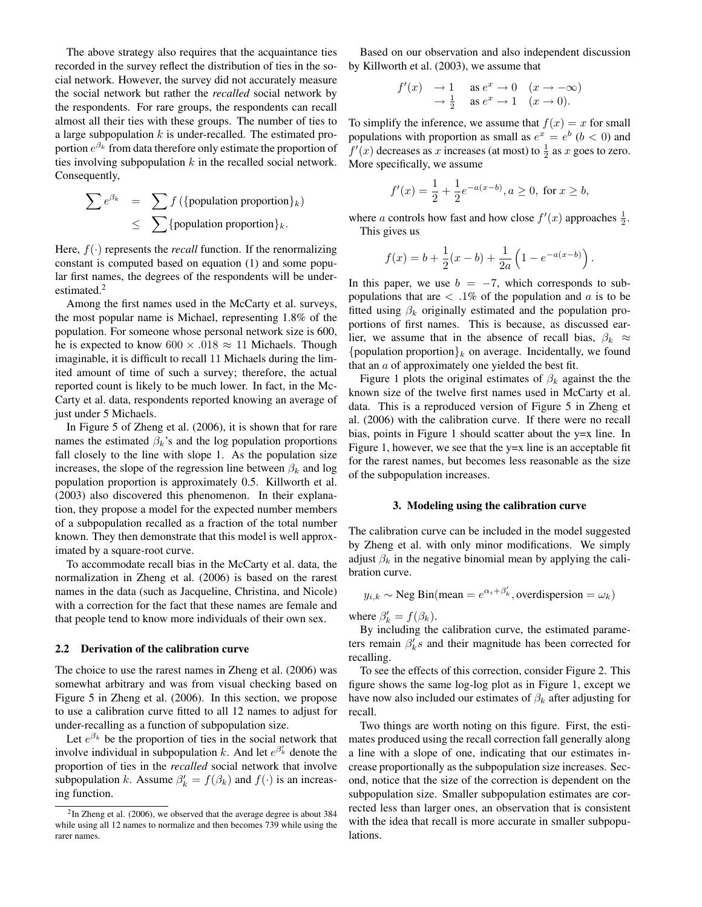The above strategy also requires that the acquaintance ties recorded in the survey reflect the distribution of ties in the social network. However, the survey did not accurately measure the social network but rather the *recalled* social network by the respondents. For rare groups, the respondents can recall almost all their ties with these groups. The number of ties to a large subpopulation  $k$  is under-recalled. The estimated proportion  $e^{\beta_k}$  from data therefore only estimate the proportion of ties involving subpopulation  $k$  in the recalled social network. Consequently,

$$
\sum e^{\beta_k} = \sum f(\{\text{population proportion}\}_k)
$$
  
\n
$$
\leq \sum \{\text{population proportion}\}_k.
$$

Here,  $f(\cdot)$  represents the *recall* function. If the renormalizing constant is computed based on equation (1) and some popular first names, the degrees of the respondents will be underestimated.<sup>2</sup>

Among the first names used in the McCarty et al. surveys, the most popular name is Michael, representing 1.8% of the population. For someone whose personal network size is 600, he is expected to know  $600 \times .018 \approx 11$  Michaels. Though imaginable, it is difficult to recall 11 Michaels during the limited amount of time of such a survey; therefore, the actual reported count is likely to be much lower. In fact, in the Mc-Carty et al. data, respondents reported knowing an average of just under 5 Michaels.

In Figure 5 of Zheng et al. (2006), it is shown that for rare names the estimated  $\beta_k$ 's and the log population proportions fall closely to the line with slope 1. As the population size increases, the slope of the regression line between  $\beta_k$  and log population proportion is approximately 0.5. Killworth et al. (2003) also discovered this phenomenon. In their explanation, they propose a model for the expected number members of a subpopulation recalled as a fraction of the total number known. They then demonstrate that this model is well approximated by a square-root curve.

To accommodate recall bias in the McCarty et al. data, the normalization in Zheng et al. (2006) is based on the rarest names in the data (such as Jacqueline, Christina, and Nicole) with a correction for the fact that these names are female and that people tend to know more individuals of their own sex.

## 2.2 Derivation of the calibration curve

The choice to use the rarest names in Zheng et al. (2006) was somewhat arbitrary and was from visual checking based on Figure 5 in Zheng et al. (2006). In this section, we propose to use a calibration curve fitted to all 12 names to adjust for under-recalling as a function of subpopulation size.

Let  $e^{\beta_k}$  be the proportion of ties in the social network that involve individual in subpopulation k. And let  $e^{\beta'_{k}}$  denote the proportion of ties in the *recalled* social network that involve subpopulation k. Assume  $\beta'_k = f(\beta_k)$  and  $f(\cdot)$  is an increasing function.

Based on our observation and also independent discussion by Killworth et al. (2003), we assume that

$$
f'(x) \rightarrow 1 \text{ as } e^x \rightarrow 0 \quad (x \rightarrow -\infty)
$$
  

$$
\rightarrow \frac{1}{2} \text{ as } e^x \rightarrow 1 \quad (x \rightarrow 0).
$$

To simplify the inference, we assume that  $f(x) = x$  for small populations with proportion as small as  $e^x = e^b$  ( $b < 0$ ) and  $f'(x)$  decreases as x increases (at most) to  $\frac{1}{2}$  as x goes to zero. More specifically, we assume

$$
f'(x) = \frac{1}{2} + \frac{1}{2}e^{-a(x-b)}, a \ge 0, \text{ for } x \ge b,
$$

where *a* controls how fast and how close  $f'(x)$  approaches  $\frac{1}{2}$ . This gives us

$$
f(x) = b + \frac{1}{2}(x - b) + \frac{1}{2a} \left( 1 - e^{-a(x - b)} \right).
$$

In this paper, we use  $b = -7$ , which corresponds to subpopulations that are  $\langle .1\% \rangle$  of the population and a is to be fitted using  $\beta_k$  originally estimated and the population proportions of first names. This is because, as discussed earlier, we assume that in the absence of recall bias,  $\beta_k \approx$ {population proportion} $_k$  on average. Incidentally, we found that an a of approximately one yielded the best fit.

Figure 1 plots the original estimates of  $\beta_k$  against the the known size of the twelve first names used in McCarty et al. data. This is a reproduced version of Figure 5 in Zheng et al. (2006) with the calibration curve. If there were no recall bias, points in Figure 1 should scatter about the y=x line. In Figure 1, however, we see that the y=x line is an acceptable fit for the rarest names, but becomes less reasonable as the size of the subpopulation increases.

### 3. Modeling using the calibration curve

The calibration curve can be included in the model suggested by Zheng et al. with only minor modifications. We simply adjust  $\beta_k$  in the negative binomial mean by applying the calibration curve.

$$
y_{i,k}
$$
 ~ Neg Bin(mean =  $e^{\alpha_i + \beta'_k}$ , overdispersion =  $\omega_k$ )

where  $\beta'_k = f(\beta_k)$ .

By including the calibration curve, the estimated parameters remain  $\beta'_k s$  and their magnitude has been corrected for recalling.

To see the effects of this correction, consider Figure 2. This figure shows the same log-log plot as in Figure 1, except we have now also included our estimates of  $\beta_k$  after adjusting for recall.

Two things are worth noting on this figure. First, the estimates produced using the recall correction fall generally along a line with a slope of one, indicating that our estimates increase proportionally as the subpopulation size increases. Second, notice that the size of the correction is dependent on the subpopulation size. Smaller subpopulation estimates are corrected less than larger ones, an observation that is consistent with the idea that recall is more accurate in smaller subpopulations.

 $2 \text{In Zheng}$  et al. (2006), we observed that the average degree is about 384 while using all 12 names to normalize and then becomes 739 while using the rarer names.